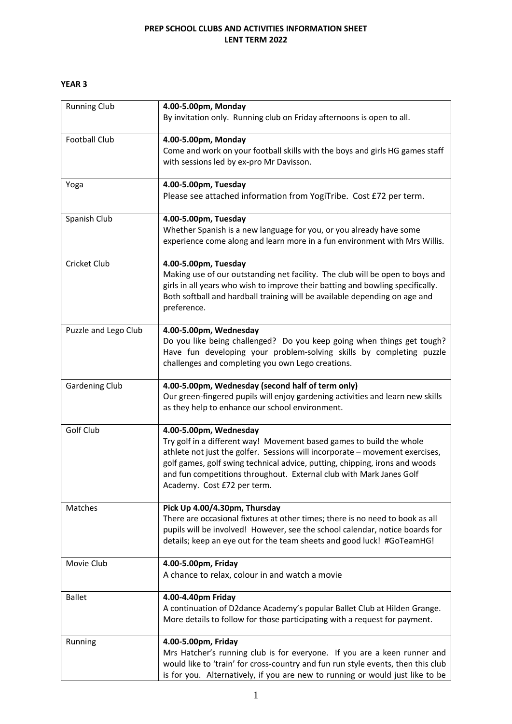## **PREP SCHOOL CLUBS AND ACTIVITIES INFORMATION SHEET LENT TERM 2022**

## **YEAR 3**

| <b>Running Club</b>   | 4.00-5.00pm, Monday                                                              |
|-----------------------|----------------------------------------------------------------------------------|
|                       | By invitation only. Running club on Friday afternoons is open to all.            |
| <b>Football Club</b>  | 4.00-5.00pm, Monday                                                              |
|                       | Come and work on your football skills with the boys and girls HG games staff     |
|                       | with sessions led by ex-pro Mr Davisson.                                         |
| Yoga                  | 4.00-5.00pm, Tuesday                                                             |
|                       | Please see attached information from YogiTribe. Cost £72 per term.               |
| Spanish Club          | 4.00-5.00pm, Tuesday                                                             |
|                       | Whether Spanish is a new language for you, or you already have some              |
|                       | experience come along and learn more in a fun environment with Mrs Willis.       |
| Cricket Club          | 4.00-5.00pm, Tuesday                                                             |
|                       | Making use of our outstanding net facility. The club will be open to boys and    |
|                       | girls in all years who wish to improve their batting and bowling specifically.   |
|                       | Both softball and hardball training will be available depending on age and       |
|                       | preference.                                                                      |
| Puzzle and Lego Club  | 4.00-5.00pm, Wednesday                                                           |
|                       | Do you like being challenged? Do you keep going when things get tough?           |
|                       | Have fun developing your problem-solving skills by completing puzzle             |
|                       | challenges and completing you own Lego creations.                                |
| <b>Gardening Club</b> | 4.00-5.00pm, Wednesday (second half of term only)                                |
|                       | Our green-fingered pupils will enjoy gardening activities and learn new skills   |
|                       | as they help to enhance our school environment.                                  |
| Golf Club             | 4.00-5.00pm, Wednesday                                                           |
|                       | Try golf in a different way! Movement based games to build the whole             |
|                       | athlete not just the golfer. Sessions will incorporate - movement exercises,     |
|                       | golf games, golf swing technical advice, putting, chipping, irons and woods      |
|                       | and fun competitions throughout. External club with Mark Janes Golf              |
|                       | Academy. Cost £72 per term.                                                      |
| Matches               | Pick Up 4.00/4.30pm, Thursday                                                    |
|                       | There are occasional fixtures at other times; there is no need to book as all    |
|                       | pupils will be involved! However, see the school calendar, notice boards for     |
|                       | details; keep an eye out for the team sheets and good luck! #GoTeamHG!           |
| Movie Club            | 4.00-5.00pm, Friday                                                              |
|                       | A chance to relax, colour in and watch a movie                                   |
| <b>Ballet</b>         | 4.00-4.40pm Friday                                                               |
|                       | A continuation of D2dance Academy's popular Ballet Club at Hilden Grange.        |
|                       | More details to follow for those participating with a request for payment.       |
| Running               | 4.00-5.00pm, Friday                                                              |
|                       | Mrs Hatcher's running club is for everyone. If you are a keen runner and         |
|                       | would like to 'train' for cross-country and fun run style events, then this club |
|                       | is for you. Alternatively, if you are new to running or would just like to be    |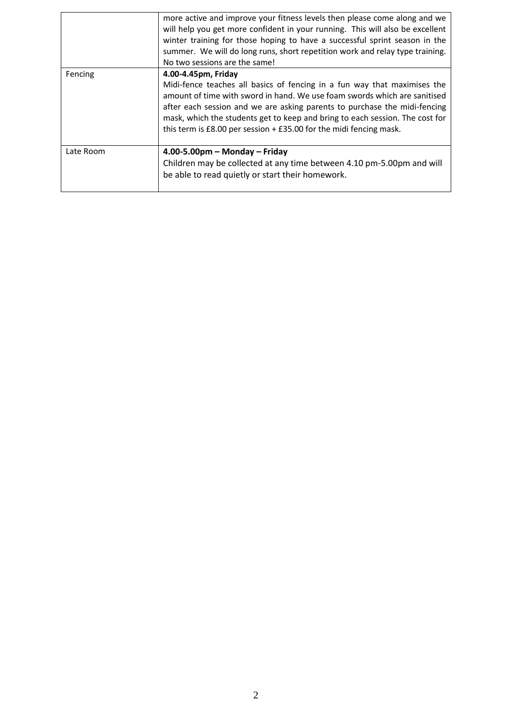|           | more active and improve your fitness levels then please come along and we<br>will help you get more confident in your running. This will also be excellent<br>winter training for those hoping to have a successful sprint season in the<br>summer. We will do long runs, short repetition work and relay type training.<br>No two sessions are the same!                                                          |
|-----------|--------------------------------------------------------------------------------------------------------------------------------------------------------------------------------------------------------------------------------------------------------------------------------------------------------------------------------------------------------------------------------------------------------------------|
| Fencing   | 4.00-4.45pm, Friday<br>Midi-fence teaches all basics of fencing in a fun way that maximises the<br>amount of time with sword in hand. We use foam swords which are sanitised<br>after each session and we are asking parents to purchase the midi-fencing<br>mask, which the students get to keep and bring to each session. The cost for<br>this term is $£8.00$ per session $+£35.00$ for the midi fencing mask. |
| Late Room | $4.00 - 5.00$ pm – Monday – Friday<br>Children may be collected at any time between 4.10 pm-5.00pm and will<br>be able to read quietly or start their homework.                                                                                                                                                                                                                                                    |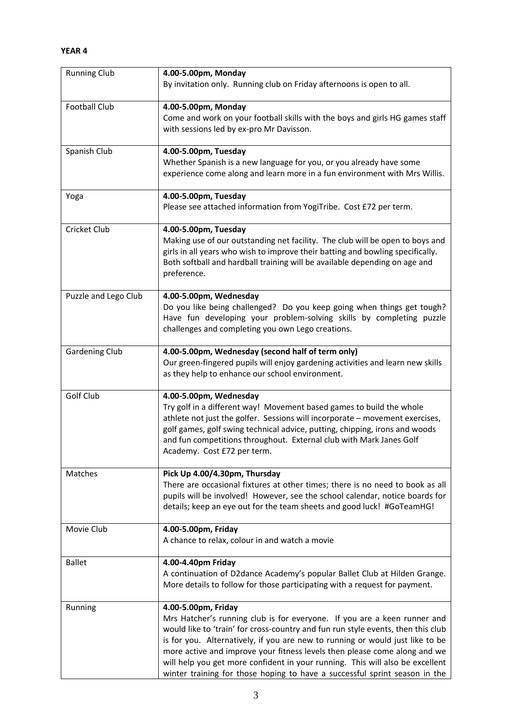| <b>Running Club</b>   | 4.00-5.00pm, Monday                                                              |
|-----------------------|----------------------------------------------------------------------------------|
|                       | By invitation only. Running club on Friday afternoons is open to all.            |
| Football Club         | 4.00-5.00pm, Monday                                                              |
|                       | Come and work on your football skills with the boys and girls HG games staff     |
|                       | with sessions led by ex-pro Mr Davisson.                                         |
| Spanish Club          | 4.00-5.00pm, Tuesday                                                             |
|                       | Whether Spanish is a new language for you, or you already have some              |
|                       | experience come along and learn more in a fun environment with Mrs Willis.       |
| Yoga                  | 4.00-5.00pm, Tuesday                                                             |
|                       | Please see attached information from YogiTribe. Cost £72 per term.               |
| Cricket Club          | 4.00-5.00pm, Tuesday                                                             |
|                       | Making use of our outstanding net facility. The club will be open to boys and    |
|                       | girls in all years who wish to improve their batting and bowling specifically.   |
|                       | Both softball and hardball training will be available depending on age and       |
|                       | preference.                                                                      |
| Puzzle and Lego Club  | 4.00-5.00pm, Wednesday                                                           |
|                       | Do you like being challenged? Do you keep going when things get tough?           |
|                       | Have fun developing your problem-solving skills by completing puzzle             |
|                       | challenges and completing you own Lego creations.                                |
| <b>Gardening Club</b> | 4.00-5.00pm, Wednesday (second half of term only)                                |
|                       | Our green-fingered pupils will enjoy gardening activities and learn new skills   |
|                       | as they help to enhance our school environment.                                  |
| Golf Club             | 4.00-5.00pm, Wednesday                                                           |
|                       | Try golf in a different way! Movement based games to build the whole             |
|                       | athlete not just the golfer. Sessions will incorporate - movement exercises,     |
|                       | golf games, golf swing technical advice, putting, chipping, irons and woods      |
|                       | and fun competitions throughout. External club with Mark Janes Golf              |
|                       | Academy. Cost £72 per term.                                                      |
| Matches               | Pick Up 4.00/4.30pm, Thursday                                                    |
|                       | There are occasional fixtures at other times; there is no need to book as all    |
|                       | pupils will be involved! However, see the school calendar, notice boards for     |
|                       | details; keep an eye out for the team sheets and good luck! #GoTeamHG!           |
| Movie Club            | 4.00-5.00pm, Friday                                                              |
|                       | A chance to relax, colour in and watch a movie                                   |
| <b>Ballet</b>         | 4.00-4.40pm Friday                                                               |
|                       | A continuation of D2dance Academy's popular Ballet Club at Hilden Grange.        |
|                       | More details to follow for those participating with a request for payment.       |
| Running               | 4.00-5.00pm, Friday                                                              |
|                       | Mrs Hatcher's running club is for everyone. If you are a keen runner and         |
|                       | would like to 'train' for cross-country and fun run style events, then this club |
|                       | is for you. Alternatively, if you are new to running or would just like to be    |
|                       | more active and improve your fitness levels then please come along and we        |
|                       | will help you get more confident in your running. This will also be excellent    |
|                       | winter training for those hoping to have a successful sprint season in the       |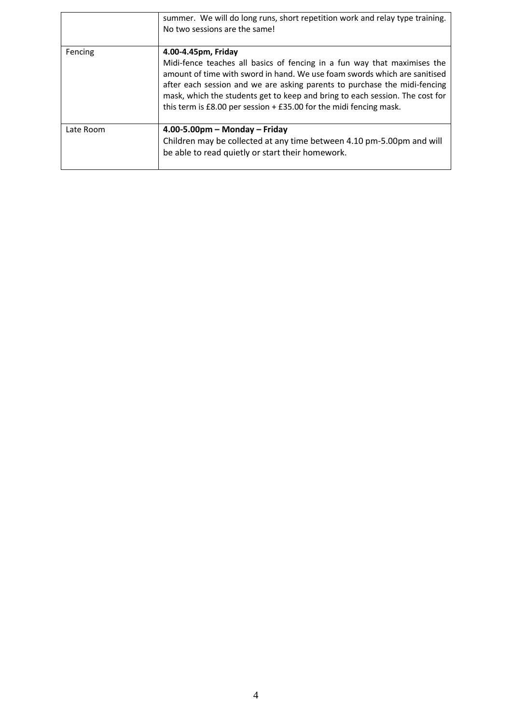|           | summer. We will do long runs, short repetition work and relay type training.<br>No two sessions are the same!                                                                                                                                                                                                                                                                                                      |
|-----------|--------------------------------------------------------------------------------------------------------------------------------------------------------------------------------------------------------------------------------------------------------------------------------------------------------------------------------------------------------------------------------------------------------------------|
| Fencing   | 4.00-4.45pm, Friday<br>Midi-fence teaches all basics of fencing in a fun way that maximises the<br>amount of time with sword in hand. We use foam swords which are sanitised<br>after each session and we are asking parents to purchase the midi-fencing<br>mask, which the students get to keep and bring to each session. The cost for<br>this term is $£8.00$ per session $+£35.00$ for the midi fencing mask. |
| Late Room | $4.00 - 5.00$ pm – Monday – Friday<br>Children may be collected at any time between 4.10 pm-5.00pm and will<br>be able to read quietly or start their homework.                                                                                                                                                                                                                                                    |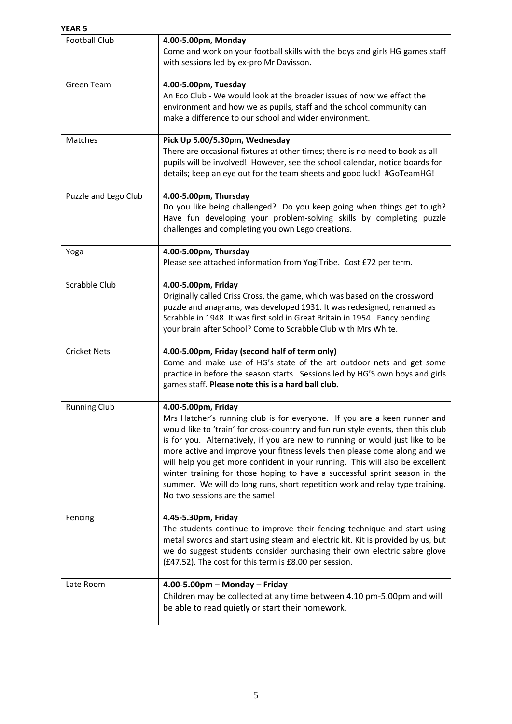| <b>Football Club</b> | 4.00-5.00pm, Monday<br>Come and work on your football skills with the boys and girls HG games staff<br>with sessions led by ex-pro Mr Davisson.                                                                                                                                                                                                                                                                                                                                                                                                                                                                                   |
|----------------------|-----------------------------------------------------------------------------------------------------------------------------------------------------------------------------------------------------------------------------------------------------------------------------------------------------------------------------------------------------------------------------------------------------------------------------------------------------------------------------------------------------------------------------------------------------------------------------------------------------------------------------------|
| <b>Green Team</b>    | 4.00-5.00pm, Tuesday<br>An Eco Club - We would look at the broader issues of how we effect the<br>environment and how we as pupils, staff and the school community can<br>make a difference to our school and wider environment.                                                                                                                                                                                                                                                                                                                                                                                                  |
| Matches              | Pick Up 5.00/5.30pm, Wednesday<br>There are occasional fixtures at other times; there is no need to book as all<br>pupils will be involved! However, see the school calendar, notice boards for<br>details; keep an eye out for the team sheets and good luck! #GoTeamHG!                                                                                                                                                                                                                                                                                                                                                         |
| Puzzle and Lego Club | 4.00-5.00pm, Thursday<br>Do you like being challenged? Do you keep going when things get tough?<br>Have fun developing your problem-solving skills by completing puzzle<br>challenges and completing you own Lego creations.                                                                                                                                                                                                                                                                                                                                                                                                      |
| Yoga                 | 4.00-5.00pm, Thursday<br>Please see attached information from YogiTribe. Cost £72 per term.                                                                                                                                                                                                                                                                                                                                                                                                                                                                                                                                       |
| Scrabble Club        | 4.00-5.00pm, Friday<br>Originally called Criss Cross, the game, which was based on the crossword<br>puzzle and anagrams, was developed 1931. It was redesigned, renamed as<br>Scrabble in 1948. It was first sold in Great Britain in 1954. Fancy bending<br>your brain after School? Come to Scrabble Club with Mrs White.                                                                                                                                                                                                                                                                                                       |
| <b>Cricket Nets</b>  | 4.00-5.00pm, Friday (second half of term only)<br>Come and make use of HG's state of the art outdoor nets and get some<br>practice in before the season starts. Sessions led by HG'S own boys and girls<br>games staff. Please note this is a hard ball club.                                                                                                                                                                                                                                                                                                                                                                     |
| <b>Running Club</b>  | 4.00-5.00pm, Friday<br>Mrs Hatcher's running club is for everyone. If you are a keen runner and<br>would like to 'train' for cross-country and fun run style events, then this club<br>is for you. Alternatively, if you are new to running or would just like to be<br>more active and improve your fitness levels then please come along and we<br>will help you get more confident in your running. This will also be excellent<br>winter training for those hoping to have a successful sprint season in the<br>summer. We will do long runs, short repetition work and relay type training.<br>No two sessions are the same! |
| Fencing              | 4.45-5.30pm, Friday<br>The students continue to improve their fencing technique and start using<br>metal swords and start using steam and electric kit. Kit is provided by us, but<br>we do suggest students consider purchasing their own electric sabre glove<br>(£47.52). The cost for this term is £8.00 per session.                                                                                                                                                                                                                                                                                                         |
| Late Room            | 4.00-5.00pm - Monday - Friday<br>Children may be collected at any time between 4.10 pm-5.00pm and will<br>be able to read quietly or start their homework.                                                                                                                                                                                                                                                                                                                                                                                                                                                                        |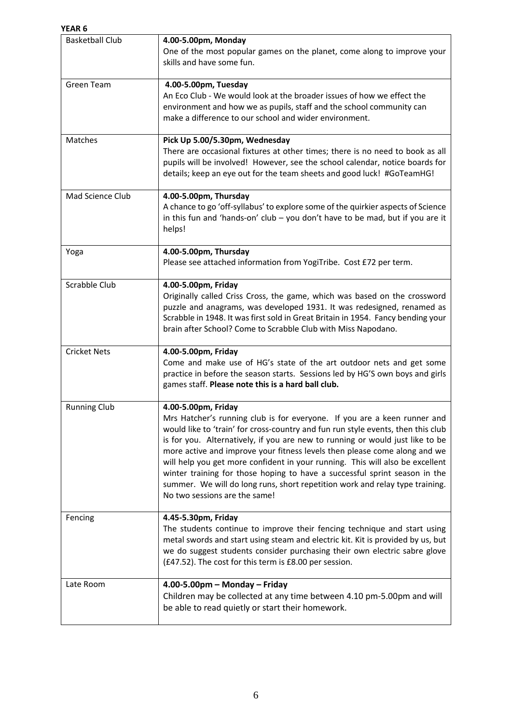| <b>Basketball Club</b> | 4.00-5.00pm, Monday                                                                                                                                                                                                                                                                                                                                                                                                                                                                                                                                                                                                               |
|------------------------|-----------------------------------------------------------------------------------------------------------------------------------------------------------------------------------------------------------------------------------------------------------------------------------------------------------------------------------------------------------------------------------------------------------------------------------------------------------------------------------------------------------------------------------------------------------------------------------------------------------------------------------|
|                        | One of the most popular games on the planet, come along to improve your<br>skills and have some fun.                                                                                                                                                                                                                                                                                                                                                                                                                                                                                                                              |
| Green Team             | 4.00-5.00pm, Tuesday<br>An Eco Club - We would look at the broader issues of how we effect the<br>environment and how we as pupils, staff and the school community can<br>make a difference to our school and wider environment.                                                                                                                                                                                                                                                                                                                                                                                                  |
| Matches                | Pick Up 5.00/5.30pm, Wednesday<br>There are occasional fixtures at other times; there is no need to book as all<br>pupils will be involved! However, see the school calendar, notice boards for<br>details; keep an eye out for the team sheets and good luck! #GoTeamHG!                                                                                                                                                                                                                                                                                                                                                         |
| Mad Science Club       | 4.00-5.00pm, Thursday<br>A chance to go 'off-syllabus' to explore some of the quirkier aspects of Science<br>in this fun and 'hands-on' club $-$ you don't have to be mad, but if you are it<br>helps!                                                                                                                                                                                                                                                                                                                                                                                                                            |
| Yoga                   | 4.00-5.00pm, Thursday<br>Please see attached information from YogiTribe. Cost £72 per term.                                                                                                                                                                                                                                                                                                                                                                                                                                                                                                                                       |
| Scrabble Club          | 4.00-5.00pm, Friday<br>Originally called Criss Cross, the game, which was based on the crossword<br>puzzle and anagrams, was developed 1931. It was redesigned, renamed as<br>Scrabble in 1948. It was first sold in Great Britain in 1954. Fancy bending your<br>brain after School? Come to Scrabble Club with Miss Napodano.                                                                                                                                                                                                                                                                                                   |
| <b>Cricket Nets</b>    | 4.00-5.00pm, Friday<br>Come and make use of HG's state of the art outdoor nets and get some<br>practice in before the season starts. Sessions led by HG'S own boys and girls<br>games staff. Please note this is a hard ball club.                                                                                                                                                                                                                                                                                                                                                                                                |
| <b>Running Club</b>    | 4.00-5.00pm, Friday<br>Mrs Hatcher's running club is for everyone. If you are a keen runner and<br>would like to 'train' for cross-country and fun run style events, then this club<br>is for you. Alternatively, if you are new to running or would just like to be<br>more active and improve your fitness levels then please come along and we<br>will help you get more confident in your running. This will also be excellent<br>winter training for those hoping to have a successful sprint season in the<br>summer. We will do long runs, short repetition work and relay type training.<br>No two sessions are the same! |
| Fencing                | 4.45-5.30pm, Friday<br>The students continue to improve their fencing technique and start using<br>metal swords and start using steam and electric kit. Kit is provided by us, but<br>we do suggest students consider purchasing their own electric sabre glove<br>(£47.52). The cost for this term is £8.00 per session.                                                                                                                                                                                                                                                                                                         |
| Late Room              | 4.00-5.00pm - Monday - Friday<br>Children may be collected at any time between 4.10 pm-5.00pm and will<br>be able to read quietly or start their homework.                                                                                                                                                                                                                                                                                                                                                                                                                                                                        |